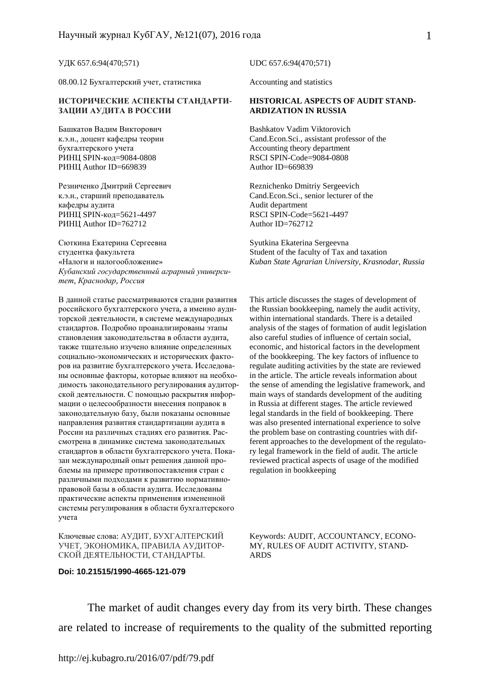УДК 657.6:94(470;571)

08.00.12 Бухгалтерский учет, статистика

## **ИСТОРИЧЕСКИЕ АСПЕКТЫ СТАНДАРТИ-ЗАЦИИ АУДИТА В РОССИИ**

Башкатов Вадим Викторович к.э.н., доцент кафедры теории бухгалтерского учета РИНЦ SPIN-код=9084-0808 РИНЦ Author ID=669839

Резниченко Дмитрий Сергеевич к.э.н., старший преподаватель кафедры аудита РИНЦ SPIN-код=5621-4497 РИНЦ Author ID=762712

Сюткина Екатерина Сергеевна студентка факультета «Налоги и налогообложение» *Кубанский государственный аграрный университет, Краснодар, Россия*

В данной статье рассматриваются стадии развития российского бухгалтерского учета, а именно аудиторской деятельности, в системе международных стандартов. Подробно проанализированы этапы становления законодательства в области аудита, также тщательно изучено влияние определенных социально-экономических и исторических факторов на развитие бухгалтерского учета. Исследованы основные факторы, которые влияют на необходимость законодательного регулирования аудиторской деятельности. С помощью раскрытия информации о целесообразности внесения поправок в законодательную базу, были показаны основные направления развития стандартизации аудита в России на различных стадиях его развития. Рассмотрена в динамике система законодательных стандартов в области бухгалтерского учета. Показан международный опыт решения данной проблемы на примере противопоставления стран с различными подходами к развитию нормативноправовой базы в области аудита. Исследованы практические аспекты применения измененной системы регулирования в области бухгалтерского учета

Ключевые слова: АУДИТ, БУХГАЛТЕРСКИЙ УЧЕТ, ЭКОНОМИКА, ПРАВИЛА АУДИТОР-СКОЙ ДЕЯТЕЛЬНОСТИ, СТАНДАРТЫ.

## **Doi: 10.21515/1990-4665-121-079**

UDC 657.6:94(470;571)

Accounting and statistics

## **HISTORICAL ASPECTS OF AUDIT STAND-ARDIZATION IN RUSSIA**

Bashkatov Vadim Viktorovich Cand.Econ.Sci., assistant professor of the Accounting theory department RSCI SPIN-Code=9084-0808 Author ID=669839

Reznichenko Dmitriy Sergeevich Cand.Econ.Sci., senior lecturer of the Audit department RSCI SPIN-Code=5621-4497 Author ID=762712

Syutkina Ekaterina Sergeevna Student of the faculty of Tax and taxation *Kuban State Agrarian University, Krasnodar, Russia* 

This article discusses the stages of development of the Russian bookkeeping, namely the audit activity, within international standards. There is a detailed analysis of the stages of formation of audit legislation also careful studies of influence of certain social, economic, and historical factors in the development of the bookkeeping. The key factors of influence to regulate auditing activities by the state are reviewed in the article. The article reveals information about the sense of amending the legislative framework, and main ways of standards development of the auditing in Russia at different stages. The article reviewed legal standards in the field of bookkeeping. There was also presented international experience to solve the problem base on contrasting countries with different approaches to the development of the regulatory legal framework in the field of audit. The article reviewed practical aspects of usage of the modified regulation in bookkeeping

Keywords: AUDIT, ACCOUNTANCY, ECONO-MY, RULES OF AUDIT ACTIVITY, STAND-ARDS

The market of audit changes every day from its very birth. These changes are related to increase of requirements to the quality of the submitted reporting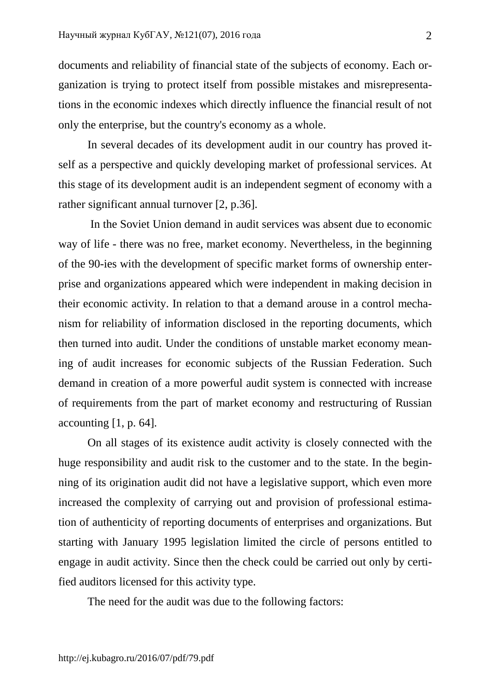documents and reliability of financial state of the subjects of economy. Each organization is trying to protect itself from possible mistakes and misrepresentations in the economic indexes which directly influence the financial result of not only the enterprise, but the country's economy as a whole.

In several decades of its development audit in our country has proved itself as a perspective and quickly developing market of professional services. At this stage of its development audit is an independent segment of economy with a rather significant annual turnover [2, p.36].

 In the Soviet Union demand in audit services was absent due to economic way of life - there was no free, market economy. Nevertheless, in the beginning of the 90-ies with the development of specific market forms of ownership enterprise and organizations appeared which were independent in making decision in their economic activity. In relation to that a demand arouse in a control mechanism for reliability of information disclosed in the reporting documents, which then turned into audit. Under the conditions of unstable market economy meaning of audit increases for economic subjects of the Russian Federation. Such demand in creation of a more powerful audit system is connected with increase of requirements from the part of market economy and restructuring of Russian accounting  $[1, p. 64]$ .

On all stages of its existence audit activity is closely connected with the huge responsibility and audit risk to the customer and to the state. In the beginning of its origination audit did not have a legislative support, which even more increased the complexity of carrying out and provision of professional estimation of authenticity of reporting documents of enterprises and organizations. But starting with January 1995 legislation limited the circle of persons entitled to engage in audit activity. Since then the check could be carried out only by certified auditors licensed for this activity type.

The need for the audit was due to the following factors: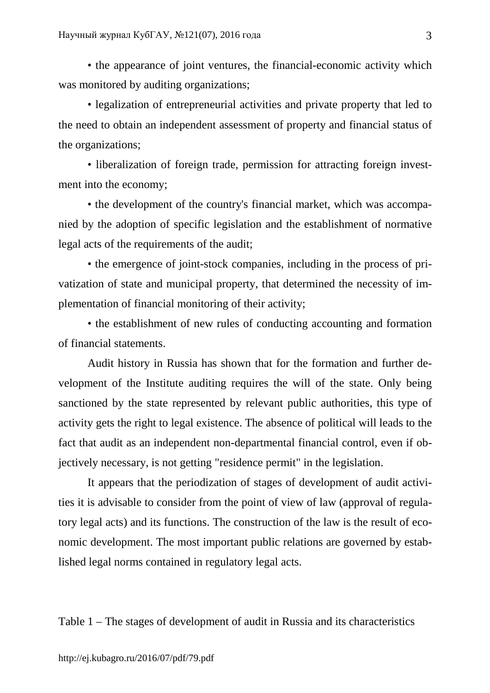• the appearance of joint ventures, the financial-economic activity which was monitored by auditing organizations;

• legalization of entrepreneurial activities and private property that led to the need to obtain an independent assessment of property and financial status of the organizations;

• liberalization of foreign trade, permission for attracting foreign investment into the economy;

• the development of the country's financial market, which was accompanied by the adoption of specific legislation and the establishment of normative legal acts of the requirements of the audit;

• the emergence of joint-stock companies, including in the process of privatization of state and municipal property, that determined the necessity of implementation of financial monitoring of their activity;

• the establishment of new rules of conducting accounting and formation of financial statements.

Audit history in Russia has shown that for the formation and further development of the Institute auditing requires the will of the state. Only being sanctioned by the state represented by relevant public authorities, this type of activity gets the right to legal existence. The absence of political will leads to the fact that audit as an independent non-departmental financial control, even if objectively necessary, is not getting "residence permit" in the legislation.

It appears that the periodization of stages of development of audit activities it is advisable to consider from the point of view of law (approval of regulatory legal acts) and its functions. The construction of the law is the result of economic development. The most important public relations are governed by established legal norms contained in regulatory legal acts.

Table 1 – The stages of development of audit in Russia and its characteristics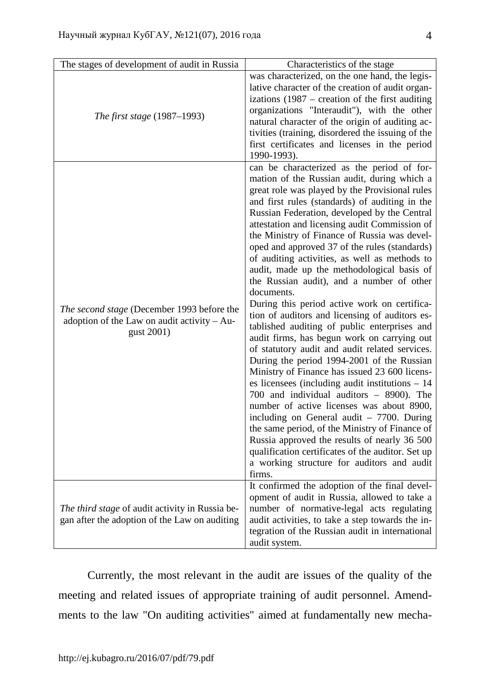| The stages of development of audit in Russia                                                              | Characteristics of the stage                                                                                                                                                                                                                                                                                                                                                                                                                                                                                                                                                                                                                                                                                                                                                                                                                                                                                                                                                                                                                                                                                                                                                                                                                                                                                           |
|-----------------------------------------------------------------------------------------------------------|------------------------------------------------------------------------------------------------------------------------------------------------------------------------------------------------------------------------------------------------------------------------------------------------------------------------------------------------------------------------------------------------------------------------------------------------------------------------------------------------------------------------------------------------------------------------------------------------------------------------------------------------------------------------------------------------------------------------------------------------------------------------------------------------------------------------------------------------------------------------------------------------------------------------------------------------------------------------------------------------------------------------------------------------------------------------------------------------------------------------------------------------------------------------------------------------------------------------------------------------------------------------------------------------------------------------|
| <i>The first stage</i> (1987–1993)                                                                        | was characterized, on the one hand, the legis-<br>lative character of the creation of audit organ-<br>izations $(1987 -$ creation of the first auditing<br>organizations "Interaudit"), with the other<br>natural character of the origin of auditing ac-<br>tivities (training, disordered the issuing of the<br>first certificates and licenses in the period<br>1990-1993).                                                                                                                                                                                                                                                                                                                                                                                                                                                                                                                                                                                                                                                                                                                                                                                                                                                                                                                                         |
| The second stage (December 1993 before the<br>adoption of the Law on audit activity $-$ Au-<br>gust 2001) | can be characterized as the period of for-<br>mation of the Russian audit, during which a<br>great role was played by the Provisional rules<br>and first rules (standards) of auditing in the<br>Russian Federation, developed by the Central<br>attestation and licensing audit Commission of<br>the Ministry of Finance of Russia was devel-<br>oped and approved 37 of the rules (standards)<br>of auditing activities, as well as methods to<br>audit, made up the methodological basis of<br>the Russian audit), and a number of other<br>documents.<br>During this period active work on certifica-<br>tion of auditors and licensing of auditors es-<br>tablished auditing of public enterprises and<br>audit firms, has begun work on carrying out<br>of statutory audit and audit related services.<br>During the period 1994-2001 of the Russian<br>Ministry of Finance has issued 23 600 licens-<br>es licensees (including audit institutions $-14$<br>700 and individual auditors - 8900). The<br>number of active licenses was about 8900,<br>including on General audit $-7700$ . During<br>the same period, of the Ministry of Finance of<br>Russia approved the results of nearly 36 500<br>qualification certificates of the auditor. Set up<br>a working structure for auditors and audit<br>firms. |
| <i>The third stage</i> of audit activity in Russia be-<br>gan after the adoption of the Law on auditing   | It confirmed the adoption of the final devel-<br>opment of audit in Russia, allowed to take a<br>number of normative-legal acts regulating<br>audit activities, to take a step towards the in-<br>tegration of the Russian audit in international<br>audit system.                                                                                                                                                                                                                                                                                                                                                                                                                                                                                                                                                                                                                                                                                                                                                                                                                                                                                                                                                                                                                                                     |

Currently, the most relevant in the audit are issues of the quality of the meeting and related issues of appropriate training of audit personnel. Amendments to the law "On auditing activities" aimed at fundamentally new mecha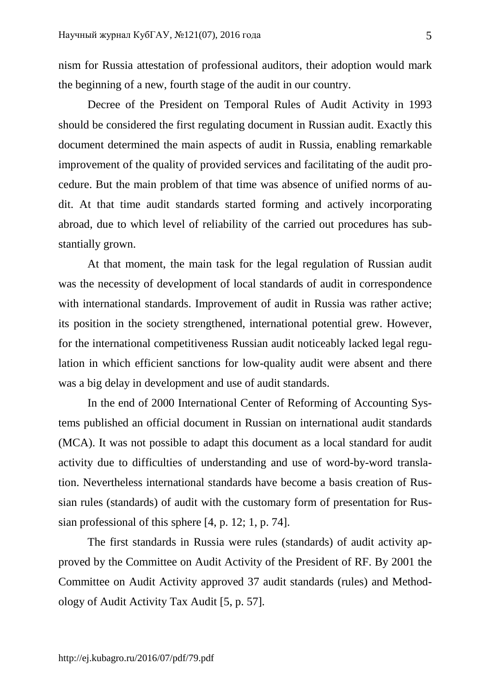nism for Russia attestation of professional auditors, their adoption would mark the beginning of a new, fourth stage of the audit in our country.

Decree of the President on Temporal Rules of Audit Activity in 1993 should be considered the first regulating document in Russian audit. Exactly this document determined the main aspects of audit in Russia, enabling remarkable improvement of the quality of provided services and facilitating of the audit procedure. But the main problem of that time was absence of unified norms of audit. At that time audit standards started forming and actively incorporating abroad, due to which level of reliability of the carried out procedures has substantially grown.

At that moment, the main task for the legal regulation of Russian audit was the necessity of development of local standards of audit in correspondence with international standards. Improvement of audit in Russia was rather active; its position in the society strengthened, international potential grew. However, for the international competitiveness Russian audit noticeably lacked legal regulation in which efficient sanctions for low-quality audit were absent and there was a big delay in development and use of audit standards.

In the end of 2000 International Center of Reforming of Accounting Systems published an official document in Russian on international audit standards (MCA). It was not possible to adapt this document as a local standard for audit activity due to difficulties of understanding and use of word-by-word translation. Nevertheless international standards have become a basis creation of Russian rules (standards) of audit with the customary form of presentation for Russian professional of this sphere [4, p. 12; 1, p. 74].

The first standards in Russia were rules (standards) of audit activity approved by the Committee on Audit Activity of the President of RF. By 2001 the Committee on Audit Activity approved 37 audit standards (rules) and Methodology of Audit Activity Tax Audit [5, p. 57].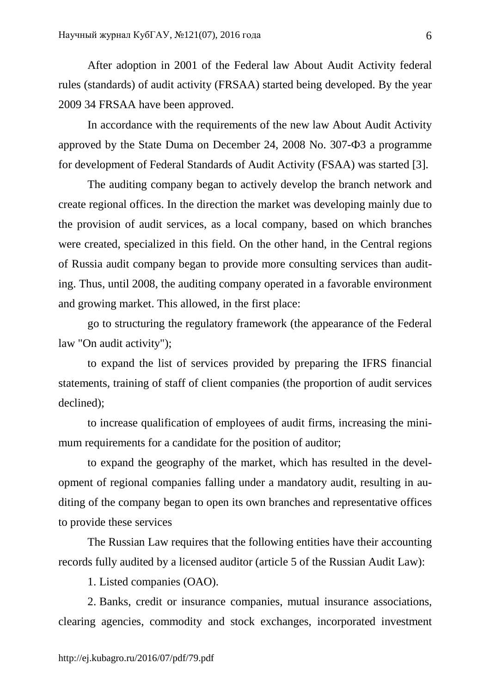After adoption in 2001 of the Federal law About Audit Activity federal rules (standards) of audit activity (FRSAA) started being developed. By the year 2009 34 FRSAA have been approved.

In accordance with the requirements of the new law About Audit Activity approved by the State Duma on December 24, 2008 No. 307-Ф3 a programme for development of Federal Standards of Audit Activity (FSAA) was started [3].

The auditing company began to actively develop the branch network and create regional offices. In the direction the market was developing mainly due to the provision of audit services, as a local company, based on which branches were created, specialized in this field. On the other hand, in the Central regions of Russia audit company began to provide more consulting services than auditing. Thus, until 2008, the auditing company operated in a favorable environment and growing market. This allowed, in the first place:

go to structuring the regulatory framework (the appearance of the Federal law "On audit activity");

to expand the list of services provided by preparing the IFRS financial statements, training of staff of client companies (the proportion of audit services declined);

to increase qualification of employees of audit firms, increasing the minimum requirements for a candidate for the position of auditor;

to expand the geography of the market, which has resulted in the development of regional companies falling under a mandatory audit, resulting in auditing of the company began to open its own branches and representative offices to provide these services

The Russian Law requires that the following entities have their accounting records fully audited by a licensed auditor (article 5 of the Russian Audit Law):

1. Listed companies (OAO).

2. Banks, credit or insurance companies, mutual insurance associations, clearing agencies, commodity and stock exchanges, incorporated investment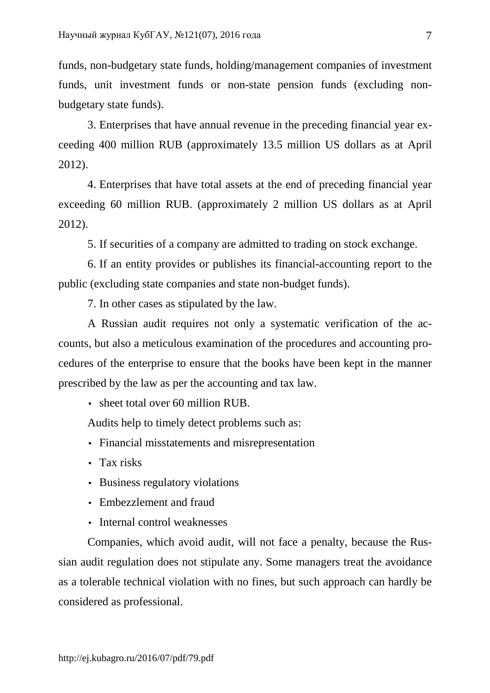funds, non-budgetary state funds, holding/management companies of investment funds, unit investment funds or non-state pension funds (excluding nonbudgetary state funds).

3. Enterprises that have annual revenue in the preceding financial year exceeding 400 million RUB (approximately 13.5 million US dollars as at April 2012).

4. Enterprises that have total assets at the end of preceding financial year exceeding 60 million RUB. (approximately 2 million US dollars as at April 2012).

5. If securities of a company are admitted to trading on stock exchange.

6. If an entity provides or publishes its financial-accounting report to the public (excluding state companies and state non-budget funds).

7. In other cases as stipulated by the law.

A Russian audit requires not only a systematic verification of the accounts, but also a meticulous examination of the procedures and accounting procedures of the enterprise to ensure that the books have been kept in the manner prescribed by the law as per the accounting and tax law.

• sheet total over 60 million RUB.

Audits help to timely detect problems such as:

- Financial misstatements and misrepresentation
- Tax risks
- Business regulatory violations
- Embezzlement and fraud
- Internal control weaknesses

Companies, which avoid audit, will not face a penalty, because the Russian audit regulation does not stipulate any. Some managers treat the avoidance as a tolerable technical violation with no fines, but such approach can hardly be considered as professional.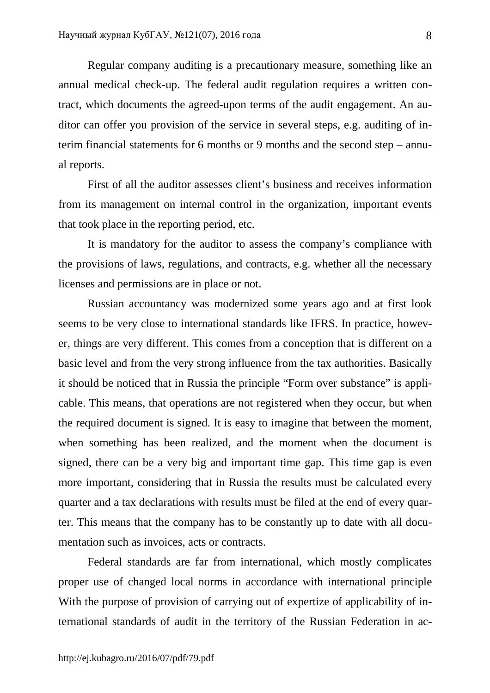Regular company auditing is a precautionary measure, something like an annual medical check-up. The federal audit regulation requires a written contract, which documents the agreed-upon terms of the audit engagement. An auditor can offer you provision of the service in several steps, e.g. auditing of interim financial statements for 6 months or 9 months and the second step – annual reports.

First of all the auditor assesses client's business and receives information from its management on internal control in the organization, important events that took place in the reporting period, etc.

It is mandatory for the auditor to assess the company's compliance with the provisions of laws, regulations, and contracts, e.g. whether all the necessary licenses and permissions are in place or not.

Russian accountancy was modernized some years ago and at first look seems to be very close to international standards like IFRS. In practice, however, things are very different. This comes from a conception that is different on a basic level and from the very strong influence from the tax authorities. Basically it should be noticed that in Russia the principle "Form over substance" is applicable. This means, that operations are not registered when they occur, but when the required document is signed. It is easy to imagine that between the moment, when something has been realized, and the moment when the document is signed, there can be a very big and important time gap. This time gap is even more important, considering that in Russia the results must be calculated every quarter and a tax declarations with results must be filed at the end of every quarter. This means that the company has to be constantly up to date with all documentation such as invoices, acts or contracts.

Federal standards are far from international, which mostly complicates proper use of changed local norms in accordance with international principle With the purpose of provision of carrying out of expertize of applicability of international standards of audit in the territory of the Russian Federation in ac